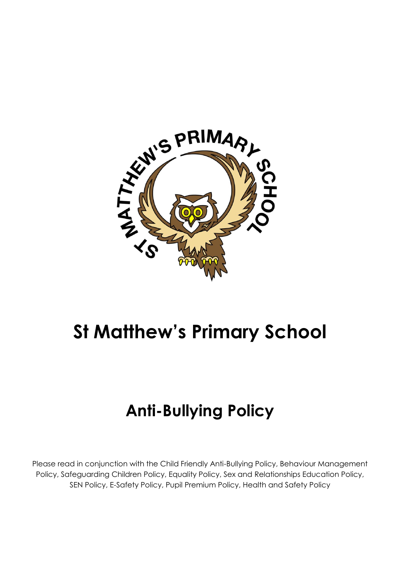

# **St Matthew's Primary School**

# **Anti-Bullying Policy**

Please read in conjunction with the Child Friendly Anti-Bullying Policy, Behaviour Management Policy, Safeguarding Children Policy, Equality Policy, Sex and Relationships Education Policy, SEN Policy, E-Safety Policy, Pupil Premium Policy, Health and Safety Policy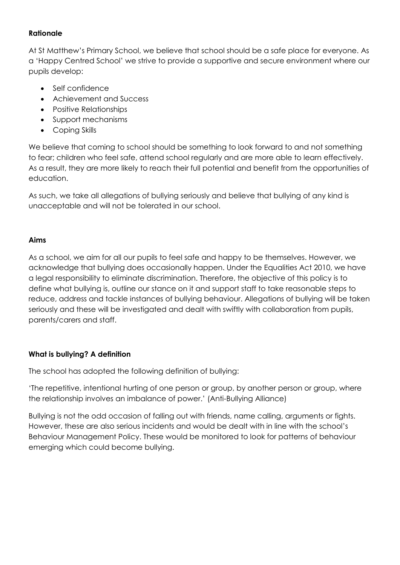#### **Rationale**

At St Matthew's Primary School, we believe that school should be a safe place for everyone. As a 'Happy Centred School' we strive to provide a supportive and secure environment where our pupils develop:

- Self confidence
- Achievement and Success
- Positive Relationships
- Support mechanisms
- Coping Skills

We believe that coming to school should be something to look forward to and not something to fear; children who feel safe, attend school regularly and are more able to learn effectively. As a result, they are more likely to reach their full potential and benefit from the opportunities of education.

As such, we take all allegations of bullying seriously and believe that bullying of any kind is unacceptable and will not be tolerated in our school.

#### **Aims**

As a school, we aim for all our pupils to feel safe and happy to be themselves. However, we acknowledge that bullying does occasionally happen. Under the Equalities Act 2010, we have a legal responsibility to eliminate discrimination. Therefore, the objective of this policy is to define what bullying is, outline our stance on it and support staff to take reasonable steps to reduce, address and tackle instances of bullying behaviour. Allegations of bullying will be taken seriously and these will be investigated and dealt with swiftly with collaboration from pupils, parents/carers and staff.

#### **What is bullying? A definition**

The school has adopted the following definition of bullying:

'The repetitive, intentional hurting of one person or group, by another person or group, where the relationship involves an imbalance of power.' (Anti-Bullying Alliance)

Bullying is not the odd occasion of falling out with friends, name calling, arguments or fights. However, these are also serious incidents and would be dealt with in line with the school's Behaviour Management Policy. These would be monitored to look for patterns of behaviour emerging which could become bullying.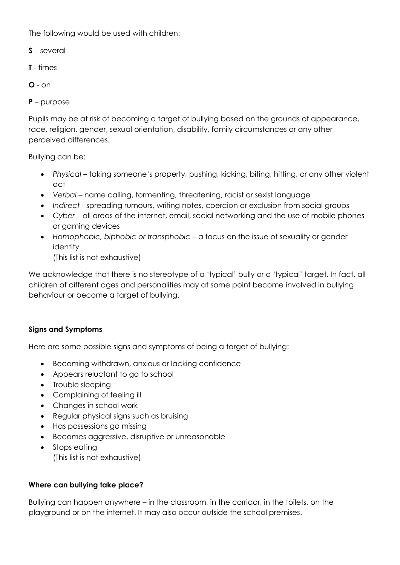The following would be used with children:

- **S** several
- **T** times
- **O** on

**P** – purpose

Pupils may be at risk of becoming a target of bullying based on the grounds of appearance, race, religion, gender, sexual orientation, disability, family circumstances or any other perceived differences.

Bullying can be:

- *Physical* taking someone's property, pushing, kicking, biting, hitting, or any other violent act
- *Verbal* name calling, tormenting, threatening, racist or sexist language
- *Indirect* spreading rumours, writing notes, coercion or exclusion from social groups
- *Cyber* all areas of the internet, email, social networking and the use of mobile phones or gaming devices
- *Homophobic, biphobic or transphobic* a focus on the issue of sexuality or gender identity
	- (This list is not exhaustive)

We acknowledge that there is no stereotype of a 'typical' bully or a 'typical' target. In fact, all children of different ages and personalities may at some point become involved in bullying behaviour or become a target of bullying.

#### **Signs and Symptoms**

Here are some possible signs and symptoms of being a target of bullying:

- Becoming withdrawn, anxious or lacking confidence
- Appears reluctant to go to school
- Trouble sleeping
- Complaining of feeling ill
- Changes in school work
- Regular physical signs such as bruising
- Has possessions go missing
- Becomes aggressive, disruptive or unreasonable
- Stops eating (This list is not exhaustive)

# **Where can bullying take place?**

Bullying can happen anywhere – in the classroom, in the corridor, in the toilets, on the playground or on the internet. It may also occur outside the school premises.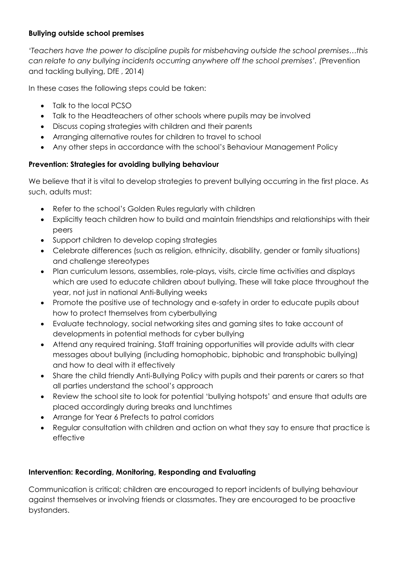# **Bullying outside school premises**

*'Teachers have the power to discipline pupils for misbehaving outside the school premises…this can relate to any bullying incidents occurring anywhere off the school premises'. (*Prevention and tackling bullying, DfE , 2014)

In these cases the following steps could be taken:

- Talk to the local PCSO
- Talk to the Headteachers of other schools where pupils may be involved
- Discuss coping strategies with children and their parents
- Arranging alternative routes for children to travel to school
- Any other steps in accordance with the school's Behaviour Management Policy

# **Prevention: Strategies for avoiding bullying behaviour**

We believe that it is vital to develop strategies to prevent bullying occurring in the first place. As such, adults must:

- Refer to the school's Golden Rules regularly with children
- Explicitly teach children how to build and maintain friendships and relationships with their peers
- Support children to develop coping strategies
- Celebrate differences (such as religion, ethnicity, disability, gender or family situations) and challenge stereotypes
- Plan curriculum lessons, assemblies, role-plays, visits, circle time activities and displays which are used to educate children about bullying. These will take place throughout the year, not just in national Anti-Bullying weeks
- Promote the positive use of technology and e-safety in order to educate pupils about how to protect themselves from cyberbullying
- Evaluate technology, social networking sites and gaming sites to take account of developments in potential methods for cyber bullying
- Attend any required training. Staff training opportunities will provide adults with clear messages about bullying (including homophobic, biphobic and transphobic bullying) and how to deal with it effectively
- Share the child friendly Anti-Bullying Policy with pupils and their parents or carers so that all parties understand the school's approach
- Review the school site to look for potential 'bullying hotspots' and ensure that adults are placed accordingly during breaks and lunchtimes
- Arrange for Year 6 Prefects to patrol corridors
- Regular consultation with children and action on what they say to ensure that practice is effective

#### **Intervention: Recording, Monitoring, Responding and Evaluating**

Communication is critical; children are encouraged to report incidents of bullying behaviour against themselves or involving friends or classmates. They are encouraged to be proactive bystanders.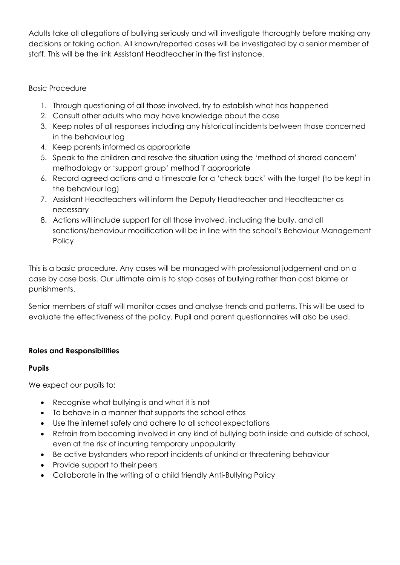Adults take all allegations of bullying seriously and will investigate thoroughly before making any decisions or taking action. All known/reported cases will be investigated by a senior member of staff. This will be the link Assistant Headteacher in the first instance.

## Basic Procedure

- 1. Through questioning of all those involved, try to establish what has happened
- 2. Consult other adults who may have knowledge about the case
- 3. Keep notes of all responses including any historical incidents between those concerned in the behaviour log
- 4. Keep parents informed as appropriate
- 5. Speak to the children and resolve the situation using the 'method of shared concern' methodology or 'support group' method if appropriate
- 6. Record agreed actions and a timescale for a 'check back' with the target (to be kept in the behaviour log)
- 7. Assistant Headteachers will inform the Deputy Headteacher and Headteacher as necessary
- 8. Actions will include support for all those involved, including the bully, and all sanctions/behaviour modification will be in line with the school's Behaviour Management **Policy**

This is a basic procedure. Any cases will be managed with professional judgement and on a case by case basis. Our ultimate aim is to stop cases of bullying rather than cast blame or punishments.

Senior members of staff will monitor cases and analyse trends and patterns. This will be used to evaluate the effectiveness of the policy. Pupil and parent questionnaires will also be used.

# **Roles and Responsibilities**

#### **Pupils**

We expect our pupils to:

- Recognise what bullying is and what it is not
- To behave in a manner that supports the school ethos
- Use the internet safely and adhere to all school expectations
- Refrain from becoming involved in any kind of bullying both inside and outside of school, even at the risk of incurring temporary unpopularity
- Be active bystanders who report incidents of unkind or threatening behaviour
- Provide support to their peers
- Collaborate in the writing of a child friendly Anti-Bullying Policy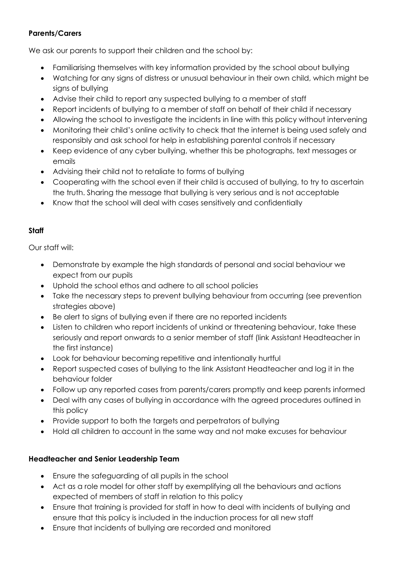# **Parents/Carers**

We ask our parents to support their children and the school by:

- Familiarising themselves with key information provided by the school about bullying
- Watching for any signs of distress or unusual behaviour in their own child, which might be signs of bullying
- Advise their child to report any suspected bullying to a member of staff
- Report incidents of bullying to a member of staff on behalf of their child if necessary
- Allowing the school to investigate the incidents in line with this policy without intervening
- Monitoring their child's online activity to check that the internet is being used safely and responsibly and ask school for help in establishing parental controls if necessary
- Keep evidence of any cyber bullying, whether this be photographs, text messages or emails
- Advising their child not to retaliate to forms of bullying
- Cooperating with the school even if their child is accused of bullying, to try to ascertain the truth. Sharing the message that bullying is very serious and is not acceptable
- Know that the school will deal with cases sensitively and confidentially

#### **Staff**

Our staff will:

- Demonstrate by example the high standards of personal and social behaviour we expect from our pupils
- Uphold the school ethos and adhere to all school policies
- Take the necessary steps to prevent bullying behaviour from occurring (see prevention strategies above)
- Be alert to signs of bullying even if there are no reported incidents
- Listen to children who report incidents of unkind or threatening behaviour, take these seriously and report onwards to a senior member of staff (link Assistant Headteacher in the first instance)
- Look for behaviour becoming repetitive and intentionally hurtful
- Report suspected cases of bullying to the link Assistant Headteacher and log it in the behaviour folder
- Follow up any reported cases from parents/carers promptly and keep parents informed
- Deal with any cases of bullying in accordance with the agreed procedures outlined in this policy
- Provide support to both the targets and perpetrators of bullying
- Hold all children to account in the same way and not make excuses for behaviour

#### **Headteacher and Senior Leadership Team**

- Ensure the safeguarding of all pupils in the school
- Act as a role model for other staff by exemplifying all the behaviours and actions expected of members of staff in relation to this policy
- Ensure that training is provided for staff in how to deal with incidents of bullying and ensure that this policy is included in the induction process for all new staff
- Ensure that incidents of bullying are recorded and monitored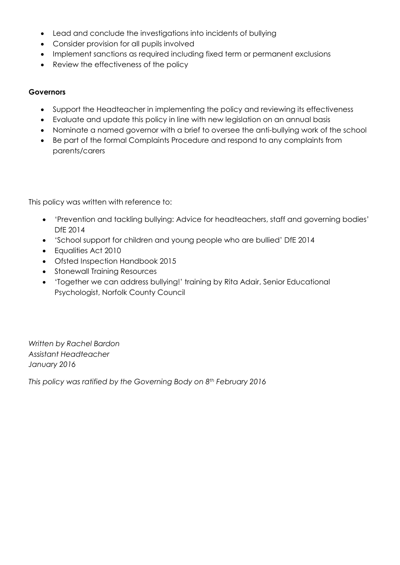- Lead and conclude the investigations into incidents of bullying
- Consider provision for all pupils involved
- Implement sanctions as required including fixed term or permanent exclusions
- Review the effectiveness of the policy

#### **Governors**

- Support the Headteacher in implementing the policy and reviewing its effectiveness
- Evaluate and update this policy in line with new legislation on an annual basis
- Nominate a named governor with a brief to oversee the anti-bullying work of the school
- Be part of the formal Complaints Procedure and respond to any complaints from parents/carers

This policy was written with reference to:

- 'Prevention and tackling bullying: Advice for headteachers, staff and governing bodies' DfE 2014
- 'School support for children and young people who are bullied' DfE 2014
- Equalities Act 2010
- Ofsted Inspection Handbook 2015
- Stonewall Training Resources
- 'Together we can address bullying!' training by Rita Adair, Senior Educational Psychologist, Norfolk County Council

*Written by Rachel Bardon Assistant Headteacher January 2016* 

*This policy was ratified by the Governing Body on 8th February 2016*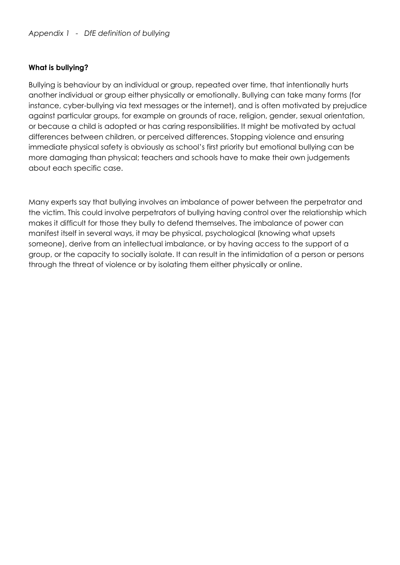#### **What is bullying?**

Bullying is behaviour by an individual or group, repeated over time, that intentionally hurts another individual or group either physically or emotionally. Bullying can take many forms (for instance, cyber-bullying via text messages or the internet), and is often motivated by prejudice against particular groups, for example on grounds of race, religion, gender, sexual orientation, or because a child is adopted or has caring responsibilities. It might be motivated by actual differences between children, or perceived differences. Stopping violence and ensuring immediate physical safety is obviously as school's first priority but emotional bullying can be more damaging than physical; teachers and schools have to make their own judgements about each specific case.

Many experts say that bullying involves an imbalance of power between the perpetrator and the victim. This could involve perpetrators of bullying having control over the relationship which makes it difficult for those they bully to defend themselves. The imbalance of power can manifest itself in several ways, it may be physical, psychological (knowing what upsets someone), derive from an intellectual imbalance, or by having access to the support of a group, or the capacity to socially isolate. It can result in the intimidation of a person or persons through the threat of violence or by isolating them either physically or online.